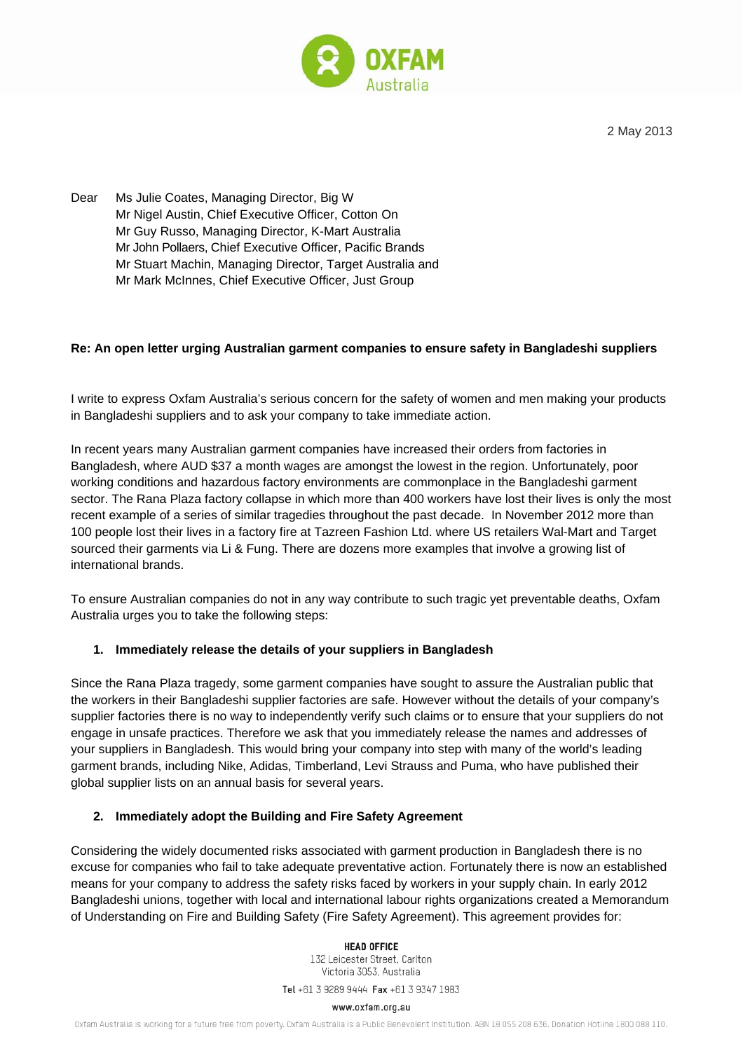

2 May 2013

Dear Ms Julie Coates, Managing Director, Big W Mr Nigel Austin, Chief Executive Officer, Cotton On Mr Guy Russo, Managing Director, K-Mart Australia Mr John Pollaers, Chief Executive Officer, Pacific Brands Mr Stuart Machin, Managing Director, Target Australia and Mr Mark McInnes, Chief Executive Officer, Just Group

## **Re: An open letter urging Australian garment companies to ensure safety in Bangladeshi suppliers**

I write to express Oxfam Australia's serious concern for the safety of women and men making your products in Bangladeshi suppliers and to ask your company to take immediate action.

In recent years many Australian garment companies have increased their orders from factories in Bangladesh, where AUD \$37 a month wages are amongst the lowest in the region. Unfortunately, poor working conditions and hazardous factory environments are commonplace in the Bangladeshi garment sector. The Rana Plaza factory collapse in which more than 400 workers have lost their lives is only the most recent example of a series of similar tragedies throughout the past decade. In November 2012 more than 100 people lost their lives in a factory fire at Tazreen Fashion Ltd. where US retailers Wal-Mart and Target sourced their garments via Li & Fung. There are dozens more examples that involve a growing list of international brands.

To ensure Australian companies do not in any way contribute to such tragic yet preventable deaths, Oxfam Australia urges you to take the following steps:

## **1. Immediately release the details of your suppliers in Bangladesh**

Since the Rana Plaza tragedy, some garment companies have sought to assure the Australian public that the workers in their Bangladeshi supplier factories are safe. However without the details of your company's supplier factories there is no way to independently verify such claims or to ensure that your suppliers do not engage in unsafe practices. Therefore we ask that you immediately release the names and addresses of your suppliers in Bangladesh. This would bring your company into step with many of the world's leading garment brands, including Nike, Adidas, Timberland, Levi Strauss and Puma, who have published their global supplier lists on an annual basis for several years.

## **2. Immediately adopt the Building and Fire Safety Agreement**

Considering the widely documented risks associated with garment production in Bangladesh there is no excuse for companies who fail to take adequate preventative action. Fortunately there is now an established means for your company to address the safety risks faced by workers in your supply chain. In early 2012 Bangladeshi unions, together with local and international labour rights organizations created a Memorandum of Understanding on Fire and Building Safety (Fire Safety Agreement). This agreement provides for:

### **HEAD OFFICE**

132 Leicester Street, Carlton Victoria 3053, Australia

Tel +61 3 9289 9444 Fax +61 3 9347 1983

#### www.oxfam.org.au

Oxfam Australia is working for a future free from poverty. Oxfam Australia is a Public Benevolent Institution. ABN 18 055 208 636. Donation Hotline 1800 088 110.